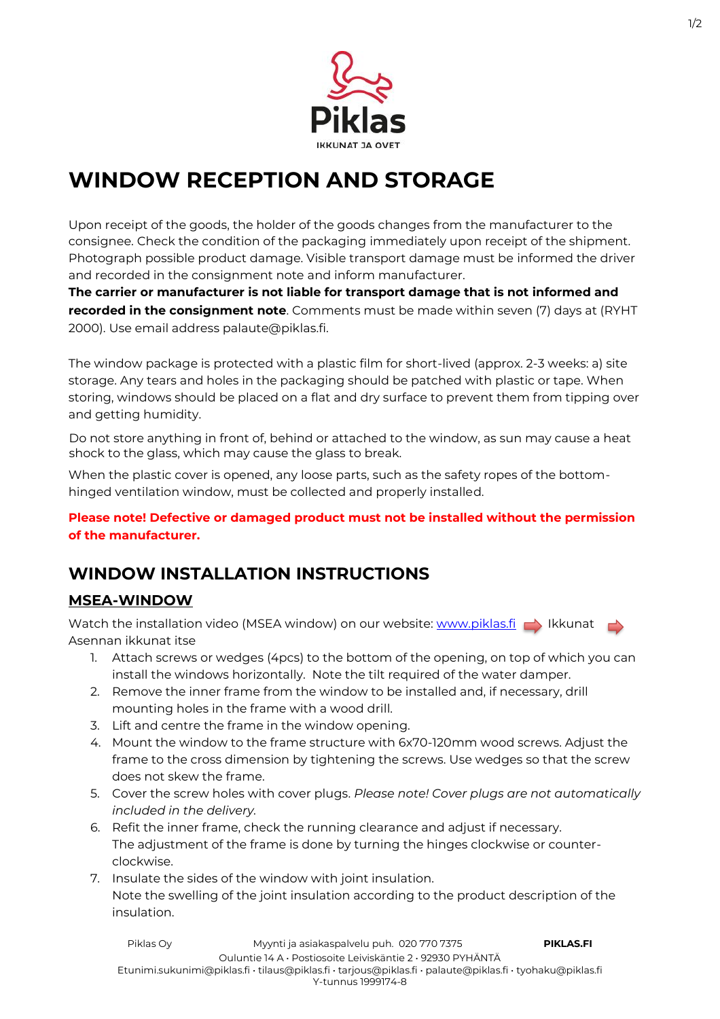

# **WINDOW RECEPTION AND STORAGE**

Upon receipt of the goods, the holder of the goods changes from the manufacturer to the consignee. Check the condition of the packaging immediately upon receipt of the shipment. Photograph possible product damage. Visible transport damage must be informed the driver and recorded in the consignment note and inform manufacturer.

**The carrier or manufacturer is not liable for transport damage that is not informed and recorded in the consignment note**. Comments must be made within seven (7) days at (RYHT 2000). Use email address palaute@piklas.fi.

The window package is protected with a plastic film for short-lived (approx. 2-3 weeks: a) site storage. Any tears and holes in the packaging should be patched with plastic or tape. When storing, windows should be placed on a flat and dry surface to prevent them from tipping over and getting humidity.

Do not store anything in front of, behind or attached to the window, as sun may cause a heat shock to the glass, which may cause the glass to break.

When the plastic cover is opened, any loose parts, such as the safety ropes of the bottomhinged ventilation window, must be collected and properly installed.

**Please note! Defective or damaged product must not be installed without the permission of the manufacturer.**

## **WINDOW INSTALLATION INSTRUCTIONS**

### **MSEA-WINDOW**

Watch the installation video (MSEA window) on our website: [www.piklas.fi](http://www.piklas.fi/)  $\rightarrow$  Ikkunat Asennan ikkunat itse

- 1. Attach screws or wedges (4pcs) to the bottom of the opening, on top of which you can install the windows horizontally. Note the tilt required of the water damper.
- 2. Remove the inner frame from the window to be installed and, if necessary, drill mounting holes in the frame with a wood drill.
- 3. Lift and centre the frame in the window opening.
- 4. Mount the window to the frame structure with 6x70-120mm wood screws. Adjust the frame to the cross dimension by tightening the screws. Use wedges so that the screw does not skew the frame.
- 5. Cover the screw holes with cover plugs. *Please note! Cover plugs are not automatically included in the delivery.*
- 6. Refit the inner frame, check the running clearance and adjust if necessary. The adjustment of the frame is done by turning the hinges clockwise or counterclockwise.
- 7. Insulate the sides of the window with joint insulation. Note the swelling of the joint insulation according to the product description of the insulation.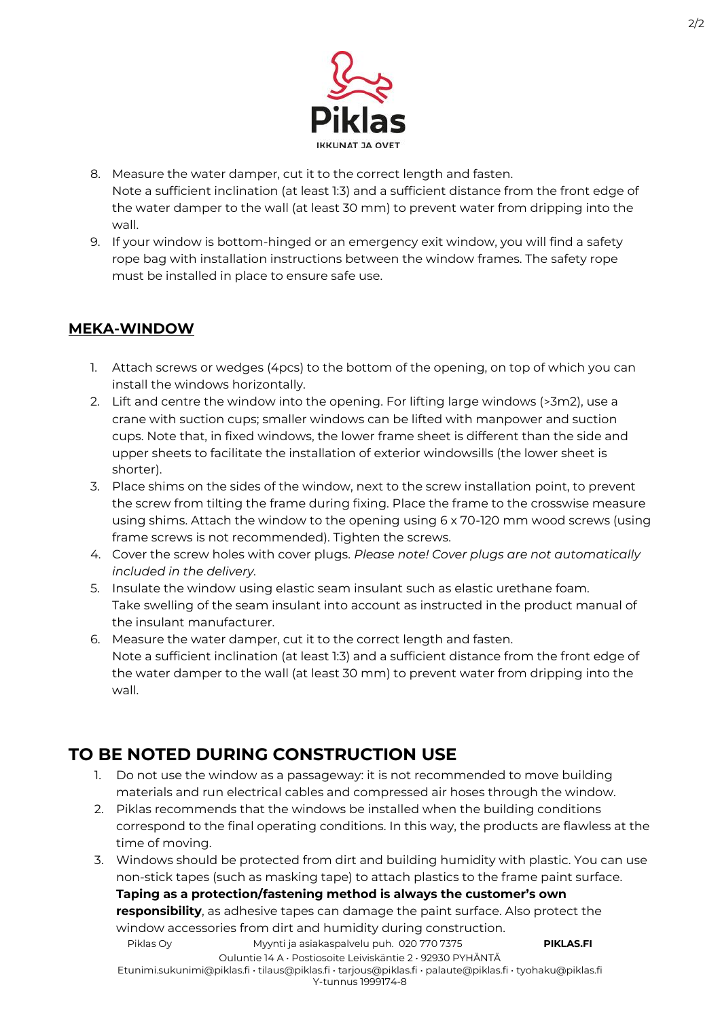

- 8. Measure the water damper, cut it to the correct length and fasten. Note a sufficient inclination (at least 1:3) and a sufficient distance from the front edge of the water damper to the wall (at least 30 mm) to prevent water from dripping into the wall.
- 9. If your window is bottom-hinged or an emergency exit window, you will find a safety rope bag with installation instructions between the window frames. The safety rope must be installed in place to ensure safe use.

#### **MEKA-WINDOW**

- 1. Attach screws or wedges (4pcs) to the bottom of the opening, on top of which you can install the windows horizontally.
- 2. Lift and centre the window into the opening. For lifting large windows (>3m2), use a crane with suction cups; smaller windows can be lifted with manpower and suction cups. Note that, in fixed windows, the lower frame sheet is different than the side and upper sheets to facilitate the installation of exterior windowsills (the lower sheet is shorter).
- 3. Place shims on the sides of the window, next to the screw installation point, to prevent the screw from tilting the frame during fixing. Place the frame to the crosswise measure using shims. Attach the window to the opening using 6 x 70-120 mm wood screws (using frame screws is not recommended). Tighten the screws.
- 4. Cover the screw holes with cover plugs. *Please note! Cover plugs are not automatically included in the delivery.*
- 5. Insulate the window using elastic seam insulant such as elastic urethane foam. Take swelling of the seam insulant into account as instructed in the product manual of the insulant manufacturer.
- 6. Measure the water damper, cut it to the correct length and fasten. Note a sufficient inclination (at least 1:3) and a sufficient distance from the front edge of the water damper to the wall (at least 30 mm) to prevent water from dripping into the wall.

## **TO BE NOTED DURING CONSTRUCTION USE**

- 1. Do not use the window as a passageway: it is not recommended to move building materials and run electrical cables and compressed air hoses through the window.
- 2. Piklas recommends that the windows be installed when the building conditions correspond to the final operating conditions. In this way, the products are flawless at the time of moving.
- 3. Windows should be protected from dirt and building humidity with plastic. You can use non-stick tapes (such as masking tape) to attach plastics to the frame paint surface. **Taping as a protection/fastening method is always the customer's own**

**responsibility**, as adhesive tapes can damage the paint surface. Also protect the window accessories from dirt and humidity during construction.